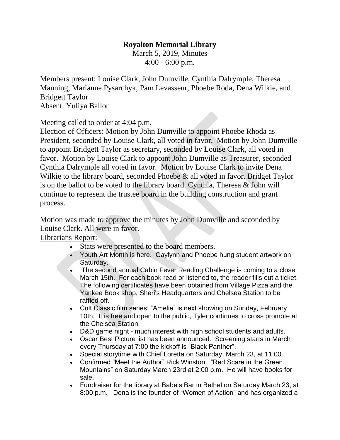## **Royalton Memorial Library**

March 5, 2019, Minutes 4:00 - 6:00 p.m.

Members present: Louise Clark, John Dumville, Cynthia Dalrymple, Theresa Manning, Marianne Pysarchyk, Pam Levasseur, Phoebe Roda, Dena Wilkie, and Bridgett Taylor Absent: Yuliya Ballou

Meeting called to order at 4:04 p.m.

Election of Officers: Motion by John Dumville to appoint Phoebe Rhoda as President, seconded by Louise Clark, all voted in favor. Motion by John Dumville to appoint Bridgett Taylor as secretary, seconded by Louise Clark, all voted in favor. Motion by Louise Clark to appoint John Dumville as Treasurer, seconded Cynthia Dalrymple all voted in favor. Motion by Louise Clark to invite Dena Wilkie to the library board, seconded Phoebe & all voted in favor. Bridget Taylor is on the ballot to be voted to the library board. Cynthia, Theresa & John will continue to represent the trustee board in the building construction and grant process.

Motion was made to approve the minutes by John Dumville and seconded by Louise Clark. All were in favor.

Librarians Report:

- Stats were presented to the board members.
- Youth Art Month is here. Gaylynn and Phoebe hung student artwork on Saturday.
- The second annual Cabin Fever Reading Challenge is coming to a close March 15th. For each book read or listened to, the reader fills out a ticket. The following certificates have been obtained from Village Pizza and the Yankee Book shop, Sheri's Headquarters and Chelsea Station to be raffled off.
- Cult Classic film series; "Amelie" is next showing on Sunday, February 10th. It is free and open to the public, Tyler continues to cross promote at the Chelsea Station.
- D&D game night much interest with high school students and adults.
- Oscar Best Picture list has been announced. Screening starts in March every Thursday at 7:00 the kickoff is "Black Panther".
- Special storytime with Chief Loretta on Saturday, March 23, at 11:00.
- Confirmed "Meet the Author" Rick Winston: "Red Scare in the Green Mountains" on Saturday March 23rd at 2:00 p.m. He will have books for sale.
- Fundraiser for the library at Babe's Bar in Bethel on Saturday March 23, at 8:00 p.m. Dena is the founder of "Women of Action" and has organized a